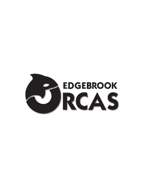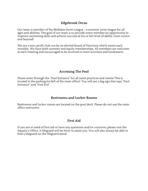## **Edgebrook Orcas**

Our team is member of the Midlakes Swim League - a summer swim league for all ages and abilities. The goal of our team is to provide every member an opportunity to improve swimming skills and achieve success at his or her level of ability, from novice and beyond!

We are a non-profit club run by an elected Board of Directors which meets each monthly. We have both summer and equity memberships. All members are welcome at each meeting and encouraged to be involved in team activities and fundraisers.

## **Accessing The Pool**

Please enter through the "Pool Entrance" for all swim practices and meets! This is located in the parking lot (left of the main office). You will see a big sign that says "Pool Entrance" and "Pool Exit".

### **Restrooms and Locker Rooms**

Restrooms and locker rooms are located on the pool deck. Please do not use the main office restrooms.

### **First Aid**

If you are in need of first aid or have any questions and/or concerns, please visit the Aquatic's Office. A lifeguard will be there to assist you. You will also always be able to find a lifeguard on the lifeguard stand.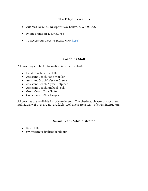# **The Edgebrook Club**

- Address: 13454 SE Newport Way Bellevue, WA 98006
- Phone Number: 425.746.2786
- To access our website, please click here!

# **Coaching Staff**

All coaching contact information is on our website.

- Head Coach Laura Halter
- Assistant Coach Katie Moeller
- Assistant Coach Weston Crewe
- Assistant Coach Alyssa Helgesen
- Assistant Coach Michael Peck
- Guest Coach Kate Halter
- Guest Coach Alex Tangas

All coaches are available for private lessons. To schedule, please contact them individually. If they are not available, we have a great team of swim instructors.

## **Swim Team Administrator**

- Kate Halter
- swimteam@edgebrookclub.org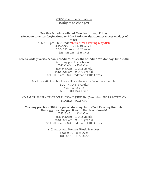### **2022 Practice Schedule** (Subject to change!)

**Practice Schedule, offered Monday through Friday Afternoon practices begin Monday, May 23rd: (no afternoon practices on days of meets)** 4:15-4:45 pm - 8 & Under (Little Orcas starting May 31st) 4:45-5:30pm - 9 & 10 yrs old 5:30-6:15pm - 11 & 12 yrs old 6:15-7:15pm - 13 & Over

**Due to widely varied school schedules, this is the schedule for Monday, June 20th:**

Morning practice schedule: 7:45-8:45am - 13 & Over 8:45-9:30am - 11 & 12 yrs old 9:30-10:15am - 9 & 10 yrs old 10:15-11:00am - 8 & Under and Little Orcas

For those still in school, we will also have an afternoon schedule: 4:00 - 4:30: 8 & Under 4:30 - 5:15: 9-12 5:15 - 6:00: 13 & Over

NO AM OR PM PRACTICE ON TUESDAY, JUNE 21st (Meet day); NO PRACTICE ON MONDAY, JULY 4th.

**Morning practices ONLY begin Wednesday, June 22nd: (Starting this date, there are morning practices on the days of meets)**

7:45-8:45am - 13 & Over 8:45-9:30am - 11 & 12 yrs old 9:30-10:15am - 9 & 10 yrs old 10:15-11:00am - 8 & Under and Little Orcas

**A Champs and Prelims Week Practices:** 8:00-9:00 - 11 & Over

9:00-10:00 - 10 & Under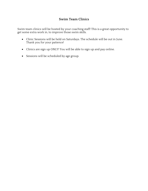# **Swim Team Clinics**

Swim team clinics will be hosted by your coaching staff! This is a great opportunity to get some extra work in, to improve those swim skills.

- Clinic Sessions will be held on Saturdays. The schedule will be out in June. Thank you for your patience!
- Clinics are sign up ONLY! You will be able to sign up and pay online.
- Sessions will be scheduled by age group.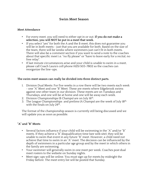### **Swim Meet Season**

#### **Meet Attendance**

- For every meet, you will need to either opt in or out. **If you do not make a selection, you will NOT be put in a meet that week.**
- If you select "yes" for both the A and the B meet, this does not guarantee you will be in both meets - just that you are available for both. Based on the size of the team, there will be weeks where swimmers just can't fit in both meets. There will also be a comment section if you want to send a note to the coaches about that specific meet i.e. "no fly please" or "have to leave early for a recital, no free relay".
- If last minute circumstances arise and your child is unable to swim in a meet, please call Coach Laura's cell phone (425) 503-7802 so the coaches can reorganize the line-ups.

#### **The swim meet season can really be divided into three distinct parts.**

- 1. Division Dual Meets: For five weeks in a row there will be two meets each week - one "A" Meet and one "B" Meet. These are meets where Edgebrook swims against one other team in our division. These meets are on Tuesdays and Thursdays, and one will be at home and one will be away each week.
- 2. Division Championships (B Champs) are on July  $16<sup>th</sup>$ .
- 3. The League Championships and prelims (A Champs) are the week of July 18th, with the finals on July  $24<sup>th</sup>$ .

The format of the championship season is currently still being discussed and we will update you as soon as possible.

#### **"A" and "B" Meets**

- Several factors influence if your child will be swimming in the "A" and/or "B" meets. If they achieve a "B" disqualification time (see web site), they will be unable to swim that event in any future "B" meet. However, a child need not achieve that time to swim in an "A" meet. The decision can be influenced by the depth of swimmers in a particular age group and by the meet in which others in the family are swimming.
- Your swimmer will generally swim in one meet per week. Coaches post dual meet rosters to the website on Sunday nights.
- Meet sign-ups will be online. You must sign up for meets by midnight the Friday before. The meet entry list will be posted that Sunday.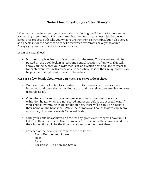# **Swim Meet Line-Ups (aka "Heat Sheets")**

When you arrive to a meet, you should start by finding the Edgebrook volunteer who is checking in swimmers. Each swimmer has their own heat sheet with their events listed. This process both tells you what your swimmer is swimming, but it also serves as a check-in for the coaches so they know which swimmers have yet to arrive. Always get your heat sheet as soon as possible!

#### **What is a heat sheet?**

• It is the complete line-up of swimmers for the meet. This document will be posted on the pool deck in at least one central location, often two. This will show you the events your swimmer is in, and which heat and lane they are in for each event. You will also be able to see who else is in their relay, so you can help gather the right swimmers for the relays.

#### **Here are a few details about what you might see on your heat sheet:**

- Each swimmer is limited to a maximum of four events per meet -- three individual and one relay, or two individual and two relays (one medley and one freestyle relay).
- Often there is more than one heat per event; and sometimes there are exhibition heats, which are not scored and occur before the scored heats. If your child is swimming in an exhibition heat, there will be an E or X next to their name on the heat sheet. While their times don't count towards the team score, they do count towards "Personal Bests".
- Until your child has achieved a time for any given event, they will have an NT listed on their heat sheet. This just means No Time. once they have a valid time, their fastest time will be the time that appears on their heat sheet.
- For each of their events, swimmers need to know:
	- Event Number and Stroke
	- Heat
	- Lane
	- For Relays Position and Stroke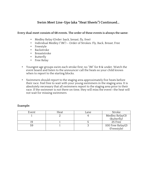# **Swim Meet Line-Ups (aka "Heat Sheets") Continued…**

#### **Every dual meet consists of 68 events. The order of these events is always the same:**

- Medley Relay (Order: back, breast, fly, free)
- Individual Medley ("IM") Order of Strokes: Fly, Back, Breast, Free
- Freestyle
- Backstroke
- Breaststroke
- Butterfly
- Free Relay
- Youngest age groups swim each stroke first; no "IM" for 8 & under. Watch the event board and listen to the announcer call the heats so your child knows when to report to the starting blocks.
- Swimmers should report to the staging area approximately five heats before their race. Feel free to wait with your young swimmers in the staging area. It is absolutely necessary that all swimmers report to the staging area prior to their race. If the swimmer is not there on time, they will miss the event—the heat will not wait for missing swimmers

| Event | Heat | Lane | Stroke                         |
|-------|------|------|--------------------------------|
|       |      |      | Medley Relay(3)<br>(Butterfly) |
|       |      |      |                                |
|       |      |      | 25 Free                        |
|       |      |      | 100 Free Relay(2)              |
|       |      |      | (Freestyle)                    |

#### **Example:**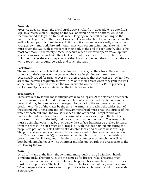### **Strokes**

#### **Freestyle**

Freestyle does not mean the crawl stroke. Any stroke, from dogpaddle to butterfly, is legal in a freestyle race. Hanging on the wall or standing on the bottom, while not recommended, is legal in a freestyle race. (Hanging on the wall or standing on the bottom is illegal in any other race.) However, it is an infraction to pull oneself along the wall or lane rope, or to jump forward off the bottom – seen occasionally among the youngest swimmers. All forward motion must come from swimming. The swimmer must touch the wall with some part of their body at the end of each length. This is the most common DQ in freestyle races. It occurs when a swimmer performs a flip turn too early, misses the wall with their feet, and continues to swim the next lap. If a swimmer misses the wall, they should either back-paddle until they can touch the wall with a toe or turn around, go back, and touch the wall.

#### **Backstroke**

The most important rule is that the swimmer must stay on their back. The swimmer cannot curl their toes over the gutter on the start. Beginning swimmers are occasionally DQed for turning over onto their breast so that they can see how far they are from the wall. Frequently they will turn onto their breast when they grab the wall at the finish. They need to touch the wall while still on their backs. Rules governing backstroke flip turns are detailed on the Midlakes website.

#### **Breaststroke**

Breaststroke is by far the most difficult stroke to do legally. At the start and after each turn the swimmer is allowed one underwater pull and one underwater kick, in that order, and may be completely submerged. Some part of the swimmer's head must break the surface of the water by the time the arms have reached the widest part of the second pull. Then some part of the swimmer's head must break the surface of the water on each pull until the wall is reached at the other end. Except for the one underwater pull mentioned above, the arm pulls cannot extend past the hip line. The hands must turn in at the belly and move forward under the breast. The arms pulls must be simultaneous, may be at or below the surface, but must be pushed forward from the breast. The kick must be a "frog kick" with the toes pointed out during the propulsive part of the kick. Flutter kicks, dolphin kicks, and scissors kicks are illegal. The pulls and kicks must alternate. The swimmer can't do two kicks or two pulls in a row. The most common DQ is the one-handed touch on the turn or the finish in breaststroke. On all turns, and at the finish, the swimmer must touch the wall with both hands simultaneously. The swimmer must be on towards the breast prior to the feet leaving the wall.

#### **Butterfly**

On all turns and at the finish the swimmer must touch the wall with both hands simultaneously. The turn rules are the same as for breaststroke. The arms must recover simultaneously over the water and be pulled back simultaneously. The kick must be a dolphin kick. The feet do not have to be together, but they may not cross. When properly done there are two dolphin kicks for each butterfly pull, however this is not a rule.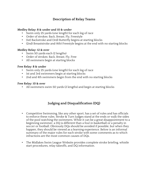# **Description of Relay Teams**

### **Medley Relay: 8 & under and 10 & under**

- Swim only 25 yards (one length) for each leg of race
- Order of strokes: Back, Breast, Fly, Freestyle
- (1st) Backstroke and (3rd) Butterfly begins at starting blocks
- (2nd) Breaststroke and (4th) Freestyle begins at the end with no starting blocks

#### **Medley Relay: 12 & over**

- Swim 50 yards each (2 lengths)
- Order of strokes: Back, Breast, Fly, Free
- All swimmers begin at starting blocks

#### **Free Relay: 8 & under**

- Swim only 25 yards (one length) for each leg of race
- 1st and 3rd swimmers begin at starting blocks
- 2nd and 4th swimmers begin from the end with no starting blocks

#### **Free Relay: 10 & over**

• All swimmers swim 50 yards (2 lengths) and begin at starting blocks

# **Judging and Disqualification (DQ)**

- Competitive Swimming, like any other sport, has a set of rules and has officials to enforce these rules. Stroke & Turn Judges stand at the ends or walk the sides of the pool watching the swimmers. While it can be a great disappointment to a beginning swimmer, a DQ is different than a foul in basketball or a penalty in soccer or football. Obviously DQs should be avoided if possible, but when they happen, they should be viewed as a learning experience. Below is an informal summary of the major rules for each stroke with some comments as to which infractions are the most common causes of DQs.
- The Midlakes Swim League Website provides complete stroke briefing, whistle start procedures, relay takeoffs, and DQ information.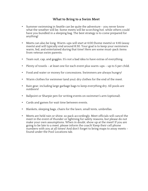## **What to Bring to a Swim Meet**

- Summer swimming in Seattle can be quite the adventure you never know what the weather will be. Some meets will be scorching hot, while others could have you bundled in a sleeping bag. The best strategy is to come prepared for anything!
- Meets can also be long. Warm-ups will start at 4:00 (home meets) or 4:45 (away meets) and will typically end around 8:30. Your goal is to keep your swimmers warm, fed, and entertained during that time! Here are some must-pack items from veteran swim parents.
- Team suit, cap, and goggles. It's not a bad idea to have extras of everything.
- Plenty of towels at least one for each event plus warm-ups up to 5 per child.
- Food and water or money for concessions. Swimmers are always hungry!
- Warm clothes for swimmer (and you); dry clothes for the end of the meet.
- Rain gear, including large garbage bags to keep everything dry. All pools are outdoors!
- Ballpoint or Sharpie pen for writing events on swimmer's arm (optional).
- Cards and games for wait time between events.
- Blankets, sleeping bags, chairs for the lawn, small tents, umbrellas.
- Meets are held rain or shine, so pack accordingly. Meet officials will cancel the meet in the event of thunder or lightning for safety reasons, but please do not make your own assumptions. When in doubt, show up at the meet! If you are going to be late to a meet, please inform the coach! Keep their cell phone numbers with you at all times! And don't forget to bring maps to away meets – found under the Pool Locations tab.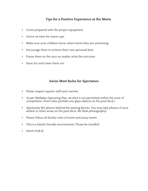# **Tips for a Positive Experience at the Meets**

- Come prepared with the proper equipment.
- Arrive on time for warm-ups.
- Make sure your children know what events they are swimming.
- Encourage them to achieve their own personal best.
- Praise them on the race no matter what the outcome.
- Have fun and cheer them on!

## **Swim Meet Rules for Spectators**

- Please respect aquatic staff and coaches.
- As per Midlakes Operating Plan, alcohol is not permitted within the zone of competition. (Pool rules prohibit any glass objects on the pool deck.)
- Absolutely NO photos behind the starting blocks. You may take photos of your athlete in other areas on the pool deck. No flash photography!
- Please follow all facility rules at home and away meets.
- This is a family friendly environment. Please be mindful!
- $\cdot$  HAVE FUN  $\odot$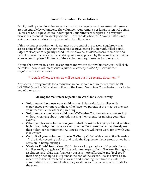## **Parent Volunteer Expectations**

Family participation in swim team is a mandatory requirement because swim meets are run entirely by volunteers. The volunteer requirement per family is ten (10) points. Points are NOT equivalent to "hours spent", but rather are weighted in a way that prioritizes essential "on-deck positions". Households who ONLY have a "Little Orca" swimmer have a reduced requirement to four (4) points.

If this volunteer requirement is not met by the end of the season, Edgebrook may assess a fine of up to \$400 per household (equivalent to \$40 per unfulfilled point). Edgebrook aquatics regularly scheduled employees, Midlakes board members and parent representatives, and leadership positions approved by the aquatics committee all receive complete fulfillment of their volunteer requirements for the season.

If your child swims in a post-season meet and we are short volunteers, you will likely be called upon to volunteer even if you have already fulfilled your volunteer requirement for the season.

#### \*\*\*Details of how to sign-up will be sent out in a separate document\*\*\*

Any special arrangements for a reduction in household requirements must be IN WRITING (email is OK) and submitted to the Parent Volunteer Coordinator prior to the end of the season.

### **Making the Volunteer Expectation Work for YOUR Family**

- **Volunteer at the meets your child swims.** This works for families with experienced swimmers or those who have two parents at the meet so one can volunteer while the other is parenting.
- **Volunteer at a meet your child does NOT swim.** You can enjoy volunteering without worrying about your kids missing their events (or missing your kids' events.)
- **Other people can volunteer on your behalf.** Consider bringing a friend, relative, high school babysitter-type, or even another Orca parent who has already met their volunteer commitment. As long as they are willing to work for or with you, it all counts.
- **Commit all your volunteer time to "B Champs".** Set aside your entire Saturday +/- the Friday evening beforehand to do the Edgebrook Orcas proud as we host Division I Championships.
- **"Cash for Points" fundraiser**. \$30/point or all or part of your 10 points. Some families really struggle to fulfill the volunteer expectations. We are offering you a solution; and while it isn't an easy out, it is more affordable and "feel good" than being fined up to \$40/point at the end of the season. It also serves as an incentive to keep Orca teens involved and spending their time in a safe, fun summertime environment while they work on your behalf and raise funds for the team.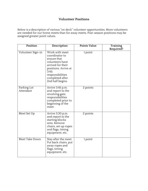## **Volunteer Positions**

Below is a description of various "on deck" volunteer opportunities. More volunteers are needed for our home meets than for away meets. Post-season positions may be assigned greater point values.

| Position                 | Description                                                                                                                                                                         | Points Value | Training  |
|--------------------------|-------------------------------------------------------------------------------------------------------------------------------------------------------------------------------------|--------------|-----------|
| Volunteer Sign-in        | Work with meet<br>coordinator to<br>ensure that<br>volunteers have<br>arrived for their<br>positions. Arrive at<br>3:45:<br>responsibilities<br>completed after<br>2nd half begins. | 1 point      | Required? |
| Parking Lot<br>Attendant | Arrive 3:45 p.m.<br>and report to the<br>revolving gate;<br>responsibilities<br>completed prior to<br>beginning of the<br>meet.                                                     | 2 points     |           |
| Meet Set Up              | Arrive 3:30 p.m.<br>and report to the<br>starting blocks<br>area. Remove<br>chairs, set up ropes<br>and flags, timing<br>equipment, etc.                                            | 2 points     |           |
| Meet Take Down           | Stay after the meet.<br>Put back chairs, put<br>away ropes and<br>flags, timing<br>equipment, etc.                                                                                  | 1 point      |           |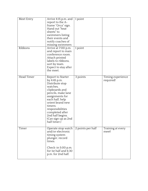| Meet Entry<br>Ribbons | Arrive 4:15 p.m. and<br>report to the A-<br>frame "Orca" sign.<br>Hand out "heat<br>sheets" to<br>swimmers listing<br>their events and<br>notify coaches of<br>missing swimmers                                                                                                 | $1$ point         |                                |
|-----------------------|---------------------------------------------------------------------------------------------------------------------------------------------------------------------------------------------------------------------------------------------------------------------------------|-------------------|--------------------------------|
|                       | Arrive at 7:00 p.m.<br>and report to main<br>conference room.<br>Attach printed<br>labels to ribbons,<br>sort by team.<br>Expect to stay after<br>the meet.                                                                                                                     | 1 point           |                                |
| <b>Head Timer</b>     | Report to Starter<br>by 4:45 p.m.<br>Distribute stop<br>watches,<br>clipboards and<br>pencils, make lane<br>assignments for<br>each half, help<br>orient brand new<br>timers;<br>responsibilities<br>completed after<br>2nd half begins.<br>(Can sign up as 2nd<br>half timer.) | 3 points          | Timing experience<br>required! |
| Timer                 | Operate stop watch<br>and/or electronic<br>timing system<br>plunger, record<br>times.<br>Check-in $5:00$ p.m.<br>for 1st half and 6:30<br>p.m. for 2nd half.                                                                                                                    | 2 points per half | Training at every<br>meet!     |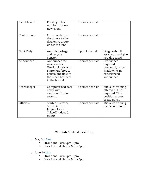| Event Board      | Rotate jumbo<br>numbers for each<br>new event.                                                                                           | 2 points per half |                                                                                           |
|------------------|------------------------------------------------------------------------------------------------------------------------------------------|-------------------|-------------------------------------------------------------------------------------------|
| Card Runner      | Carry cards from<br>the timers to the<br>data entry group<br>under the tent.                                                             | 2 points per half |                                                                                           |
| Deck Duty        | Assist is garbage<br>and recycle<br>control!                                                                                             | 1 point per half  | Lifeguards will<br>assist you and give<br>you direction!                                  |
| Announcer        | Announces the<br>meet events.<br>Works closely with<br>Starter/Referee to<br>control the flow of<br>the meet. Best seat<br>in the house! | 2 points per half | Experience<br>required<br>previously or by<br>shadowing an<br>experienced<br>announcer.   |
| Scorekeeper      | Computerized data<br>entry with<br>electronic timing<br>system.                                                                          | 2 points per half | Midlakes training<br>offered but not<br>required. This<br>position moves<br>pretty quick. |
| <b>Officials</b> | Starter / Referee,<br>Stroke & Turn<br>Judges, Relay<br>Takeoff Judges (1<br>point)                                                      | 2 points per half | Midlakes training<br>course required!                                                     |

# **Officials Virtual Training**

- o May 31<sup>st</sup> Link
	- Stroke and Turn 6pm-8pm
	- Deck Ref and Starter 8pm-9pm
- o June 7<sup>th</sup> Link
	- Stroke and Turn 6pm-8pm
	- Deck Ref and Starter 8pm-9pm